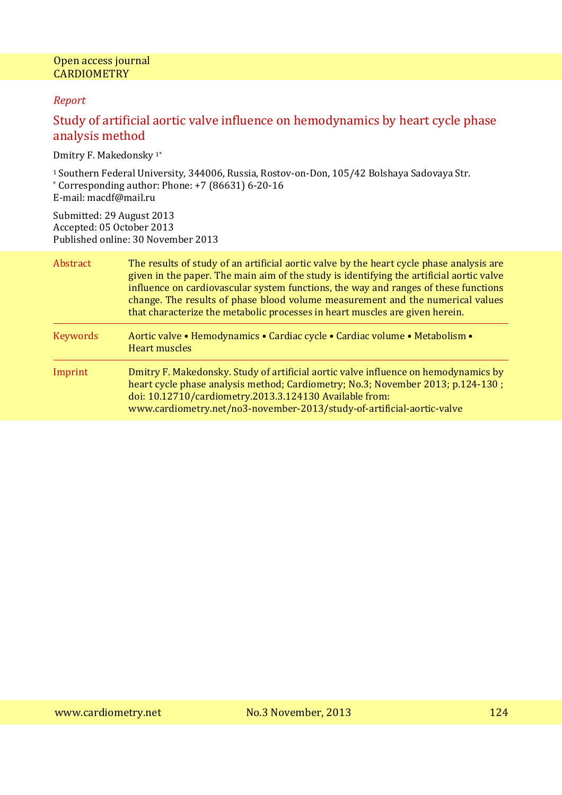### *Report*

# Study of artificial aortic valve influence on hemodynamics by heart cycle phase analysis method

Dmitry F. Makedonsky 1\*

<sup>1</sup>Southern Federal University, 344006, Russia, Rostov-on-Don, 105/42 Bolshaya Sadovaya Str. \* Corresponding author: Phone: +7 (86631) 6-20-16 E-mail: macdf@mail.ru

Submitted: 29 August 2013 Accepted: 05 October 2013 Published online: 30 November 2013

| Abstract        | The results of study of an artificial aortic valve by the heart cycle phase analysis are<br>given in the paper. The main aim of the study is identifying the artificial aortic valve<br>influence on cardiovascular system functions, the way and ranges of these functions<br>change. The results of phase blood volume measurement and the numerical values<br>that characterize the metabolic processes in heart muscles are given herein. |  |
|-----------------|-----------------------------------------------------------------------------------------------------------------------------------------------------------------------------------------------------------------------------------------------------------------------------------------------------------------------------------------------------------------------------------------------------------------------------------------------|--|
| <b>Keywords</b> | Aortic valve • Hemodynamics • Cardiac cycle • Cardiac volume • Metabolism •<br><b>Heart muscles</b>                                                                                                                                                                                                                                                                                                                                           |  |
| Imprint         | Dmitry F. Makedonsky. Study of artificial aortic valve influence on hemodynamics by<br>heart cycle phase analysis method; Cardiometry; No.3; November 2013; p.124-130;<br>doi: 10.12710/cardiometry.2013.3.124130 Available from:<br>www.cardiometry.net/no3-november-2013/study-of-artificial-aortic-valve                                                                                                                                   |  |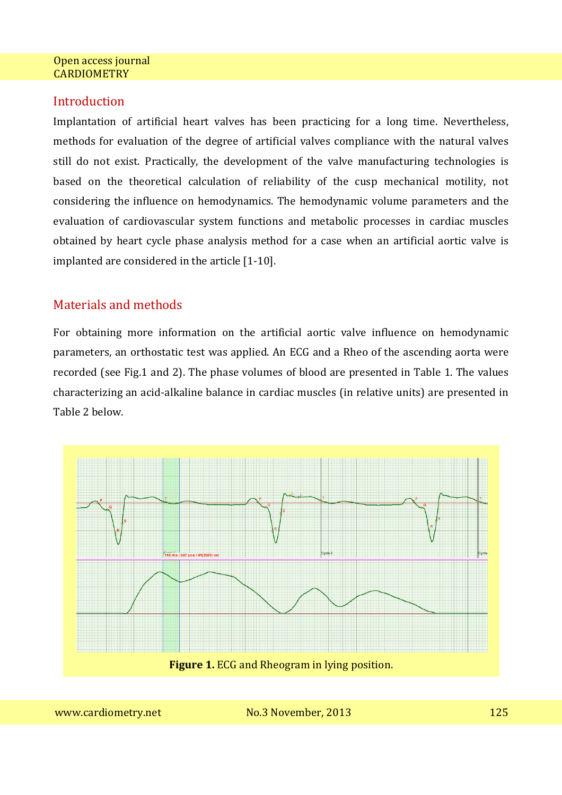# **Introduction**

Implantation of artificial heart valves has been practicing for a long time. Nevertheless, methods for evaluation of the degree of artificial valves compliance with the natural valves still do not exist. Practically, the development of the valve manufacturing technologies is based on the theoretical calculation of reliability of the cusp mechanical motility, not considering the influence on hemodynamics. The hemodynamic volume parameters and the evaluation of cardiovascular system functions and metabolic processes in cardiac muscles obtained by heart cycle phase analysis method for a case when an artificial aortic valve is implanted are considered in the article [1-10].

# Materials and methods

For obtaining more information on the artificial aortic valve influence on hemodynamic parameters, an orthostatic test was applied. An ECG and a Rheo of the ascending aorta were recorded (see Fig.1 and 2). The phase volumes of blood are presented in Table 1. The values characterizing an acid-alkaline balance in cardiac muscles (in relative units) are presented in Table 2 below.

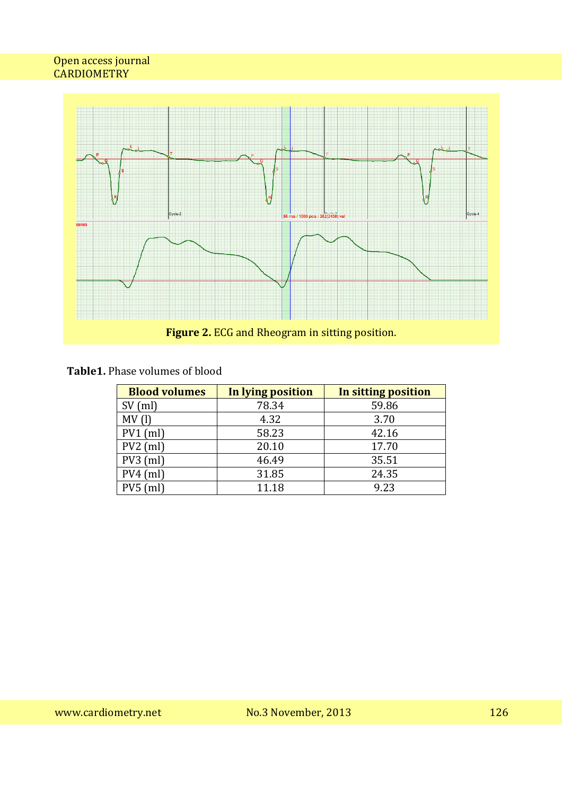

# **Table1.** Phase volumes of blood

| <b>Blood volumes</b> | In lying position | In sitting position |
|----------------------|-------------------|---------------------|
| $SV$ (ml)            | 78.34             | 59.86               |
| MV(1)                | 4.32              | 3.70                |
| $PV1$ (ml)           | 58.23             | 42.16               |
| $PV2$ (ml)           | 20.10             | 17.70               |
| $PV3$ (ml)           | 46.49             | 35.51               |
| $PV4$ (ml)           | 31.85             | 24.35               |
|                      | 11.18             | 9.23                |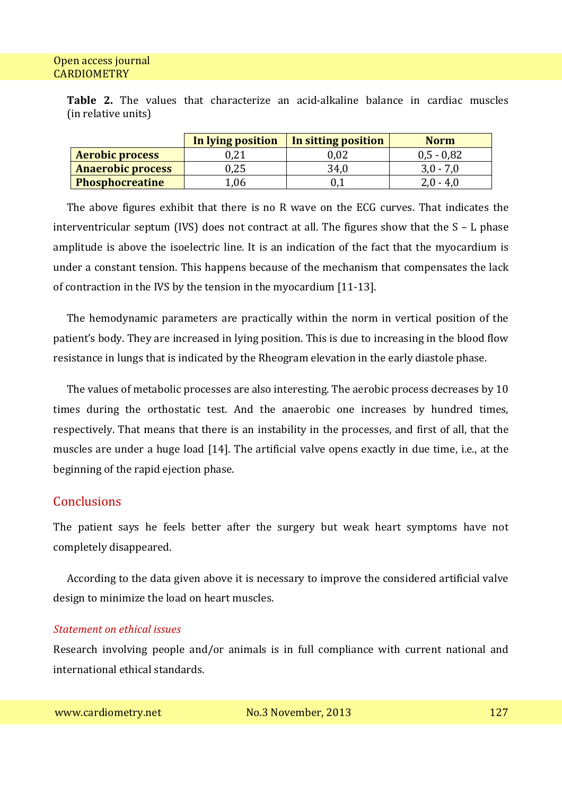**Table 2.** The values that characterize an acid-alkaline balance in cardiac muscles (in relative units)

|                          | In lying position | In sitting position | <b>Norm</b>  |
|--------------------------|-------------------|---------------------|--------------|
| <b>Aerobic process</b>   | 0.21              | $0.02\,$            | $0,5 - 0,82$ |
| <b>Anaerobic process</b> | 0.25              | 34,0                | $3.0 - 7.0$  |
| <b>Phosphocreatine</b>   | 1.06              |                     | $2.0 - 4.0$  |

The above figures exhibit that there is no R wave on the ECG curves. That indicates the interventricular septum (IVS) does not contract at all. The figures show that the S – L phase amplitude is above the isoelectric line. It is an indication of the fact that the myocardium is under a constant tension. This happens because of the mechanism that compensates the lack of contraction in the IVS by the tension in the myocardium [11-13].

The hemodynamic parameters are practically within the norm in vertical position of the patient's body. They are increased in lying position. This is due to increasing in the blood flow resistance in lungs that is indicated by the Rheogram elevation in the early diastole phase.

The values of metabolic processes are also interesting. The aerobic process decreases by 10 times during the orthostatic test. And the anaerobic one increases by hundred times, respectively. That means that there is an instability in the processes, and first of all, that the muscles are under a huge load [14]. The artificial valve opens exactly in due time, i.e., at the beginning of the rapid ejection phase.

## **Conclusions**

The patient says he feels better after the surgery but weak heart symptoms have not completely disappeared.

According to the data given above it is necessary to improve the considered artificial valve design to minimize the load on heart muscles.

### *Statement on ethical issues*

Research involving people and/or animals is in full compliance with current national and international ethical standards.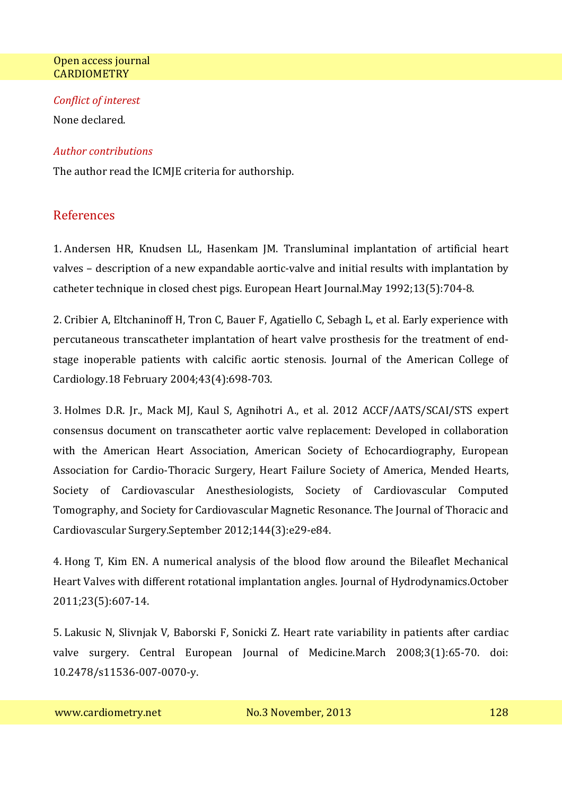### *Conflict of interest*

None declared.

### *Author contributions*

The author read the ICMIE criteria for authorship.

# References

1. Andersen HR, Knudsen LL, Hasenkam JM. Transluminal implantation of artificial heart valves – description of a new expandable aortic-valve and initial results with implantation by catheter technique in closed chest pigs. European Heart Journal.May 1992;13(5):704-8.

2. Cribier A, Eltchaninoff H, Tron C, Bauer F, Agatiello C, Sebagh L, et al. Early experience with percutaneous transcatheter implantation of heart valve prosthesis for the treatment of endstage inoperable patients with calcific aortic stenosis. Journal of the American College of Cardiology.18 February 2004;43(4):698-703.

3. Holmes D.R. Jr., Mack MJ, Kaul S, Agnihotri A., et al. 2012 ACCF/AATS/SCAI/STS expert consensus document on transcatheter aortic valve replacement: Developed in collaboration with the American Heart Association, American Society of Echocardiography, European Association for Cardio-Thoracic Surgery, Heart Failure Society of America, Mended Hearts, Society of Cardiovascular Anesthesiologists, Society of Cardiovascular Computed Tomography, and Society for Cardiovascular Magnetic Resonance. The Journal of Thoracic and Cardiovascular Surgery.September 2012;144(3):e29-e84.

4. Hong T, Kim EN. A numerical analysis of the blood flow around the Bileaflet Mechanical Heart Valves with different rotational implantation angles. Journal of Hydrodynamics.October 2011;23(5):607-14.

5. Lakusic N, Slivnjak V, Baborski F, Sonicki Z. Heart rate variability in patients after cardiac valve surgery. Central European Journal of Medicine.March 2008;3(1):65-70. doi: 10.2478/s11536-007-0070-y.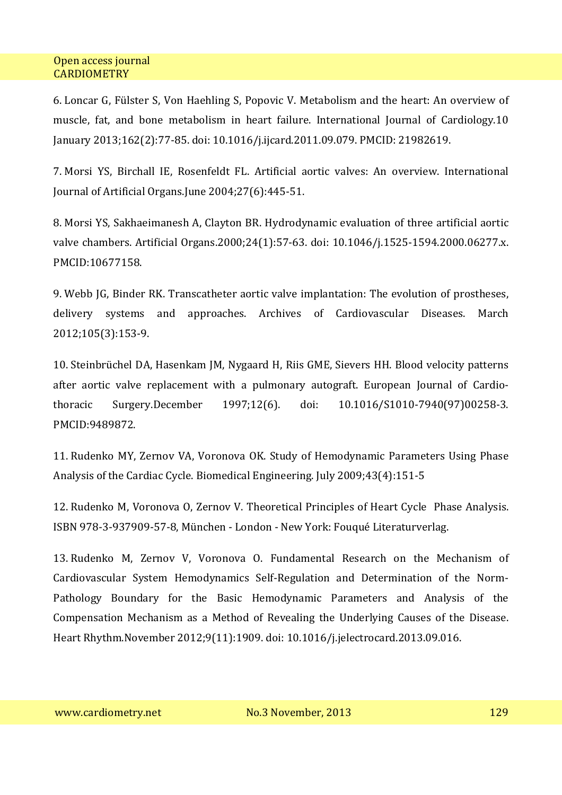6. Loncar G, Fülster S, Von Haehling S, Popovic V. Metabolism and the heart: An overview of muscle, fat, and bone metabolism in heart failure. International Journal of Cardiology.10 January 2013;162(2):77-85. doi: 10.1016/j.ijcard.2011.09.079. PMCID: 21982619.

7. Morsi YS, Birchall IE, Rosenfeldt FL. Artificial aortic valves: An overview. International Journal of Artificial Organs.June 2004;27(6):445-51.

8. Morsi YS, Sakhaeimanesh A, Clayton BR. Hydrodynamic evaluation of three artificial aortic valve chambers. Artificial Organs.2000;24(1):57-63. doi: 10.1046/j.1525-1594.2000.06277.x. PMCID:10677158.

9. Webb JG, Binder RK. Transcatheter aortic valve implantation: The evolution of prostheses, delivery systems and approaches. Archives of Cardiovascular Diseases. March 2012;105(3):153-9.

10. Steinbrüchel DA, Hasenkam JM, Nygaard H, Riis GME, Sievers HH. Blood velocity patterns after aortic valve replacement with a pulmonary autograft. European Journal of Cardiothoracic Surgery.December 1997;12(6). doi: 10.1016/S1010-7940(97)00258-3. PMCID:9489872.

11. Rudenko MY, Zernov VA, Voronova OK. Study of Hemodynamic Parameters Using Phase Analysis of the Cardiac Cycle. Biomedical Engineering. July 2009;43(4):151-5

12. Rudenko M, Voronova O, Zernov V. Theoretical Principles of Heart Cycle Phase Analysis. ISBN 978-3-937909-57-8, München - London - New York: Fouqué Literaturverlag.

13. Rudenko M, Zernov V, Voronova O. Fundamental Research on the Mechanism of Cardiovascular System Hemodynamics Self-Regulation and Determination of the Norm-Pathology Boundary for the Basic Hemodynamic Parameters and Analysis of the Compensation Mechanism as a Method of Revealing the Underlying Causes of the Disease. Heart Rhythm.November 2012;9(11):1909. doi: 10.1016/j.jelectrocard.2013.09.016.